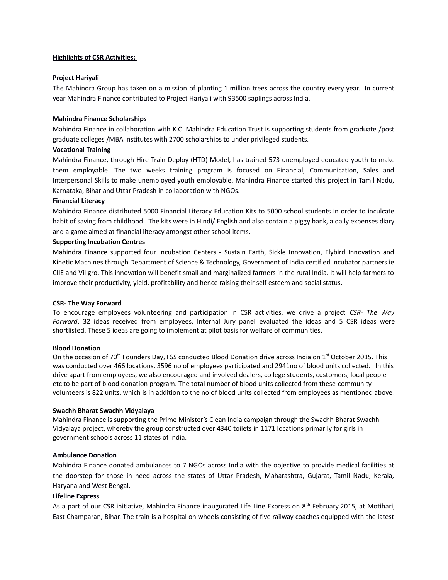# **Highlights of CSR Activities:**

# **Project Hariyali**

The Mahindra Group has taken on a mission of planting 1 million trees across the country every year. In current year Mahindra Finance contributed to Project Hariyali with 93500 saplings across India.

# **Mahindra Finance Scholarships**

Mahindra Finance in collaboration with K.C. Mahindra Education Trust is supporting students from graduate /post graduate colleges /MBA institutes with 2700 scholarships to under privileged students.

## **Vocational Training**

Mahindra Finance, through Hire-Train-Deploy (HTD) Model, has trained 573 unemployed educated youth to make them employable. The two weeks training program is focused on Financial, Communication, Sales and Interpersonal Skills to make unemployed youth employable. Mahindra Finance started this project in Tamil Nadu, Karnataka, Bihar and Uttar Pradesh in collaboration with NGOs.

## **Financial Literacy**

Mahindra Finance distributed 5000 Financial Literacy Education Kits to 5000 school students in order to inculcate habit of saving from childhood. The kits were in Hindi/ English and also contain a piggy bank, a daily expenses diary and a game aimed at financial literacy amongst other school items.

## **Supporting Incubation Centres**

Mahindra Finance supported four Incubation Centers - Sustain Earth, Sickle Innovation, Flybird Innovation and Kinetic Machines through Department of Science & Technology, Government of India certified incubator partners ie CIIE and Villgro. This innovation will benefit small and marginalized farmers in the rural India. It will help farmers to improve their productivity, yield, profitability and hence raising their self esteem and social status.

## **CSR- The Way Forward**

To encourage employees volunteering and participation in CSR activities, we drive a project *CSR- The Way Forward*. 32 ideas received from employees, Internal Jury panel evaluated the ideas and 5 CSR ideas were shortlisted. These 5 ideas are going to implement at pilot basis for welfare of communities.

## **Blood Donation**

On the occasion of 70<sup>th</sup> Founders Day, FSS conducted Blood Donation drive across India on 1<sup>st</sup> October 2015. This was conducted over 466 locations, 3596 no of employees participated and 2941no of blood units collected. In this drive apart from employees, we also encouraged and involved dealers, college students, customers, local people etc to be part of blood donation program. The total number of blood units collected from these community volunteers is 822 units, which is in addition to the no of blood units collected from employees as mentioned above.

## **Swachh Bharat Swachh Vidyalaya**

Mahindra Finance is supporting the Prime Minister's Clean India campaign through the Swachh Bharat Swachh Vidyalaya project, whereby the group constructed over 4340 toilets in 1171 locations primarily for girls in government schools across 11 states of India.

# **Ambulance Donation**

Mahindra Finance donated ambulances to 7 NGOs across India with the objective to provide medical facilities at the doorstep for those in need across the states of Uttar Pradesh, Maharashtra, Gujarat, Tamil Nadu, Kerala, Haryana and West Bengal.

## **Lifeline Express**

As a part of our CSR initiative, Mahindra Finance inaugurated Life Line Express on 8<sup>th</sup> February 2015, at Motihari, East Champaran, Bihar. The train is a hospital on wheels consisting of five railway coaches equipped with the latest